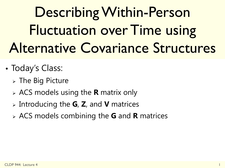# Describing Within-Person Fluctuation over Time using Alternative Covariance Structures

- Today's Class:
	- $\triangleright$  The Big Picture
	- ACS models using the **R** matrix only
	- Introducing the **G**, **Z**, and **V** matrices
	- ACS models combining the **G** and **R** matrices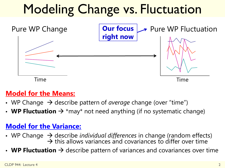# Modeling Change vs. Fluctuation



#### **Model for the Means:**

- WP Change  $\rightarrow$  describe pattern of *average* change (over "time")
- **WP Fluctuation**  $\rightarrow$  \*may\* not need anything (if no systematic change)

#### **Model for the Variance:**

- WP Change  $\rightarrow$  describe *individual differences* in change (random effects)<br>  $\rightarrow$  this allows variances and covariances to differ over time
- **WP Fluctuation**  $\rightarrow$  describe pattern of variances and covariances over time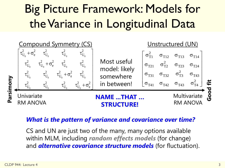### Big Picture Framework: Models for the Variance in Longitudinal Data



#### *What is the pattern of variance and covariance over time?*

CS and UN are just two of the many, many options available within MLM, including *random effects models* (for change) and *alternative covariance structure models* (for fluctuation).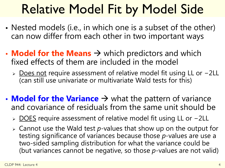# Relative Model Fit by Model Side

- Nested models (i.e., in which one is a subset of the other) can now differ from each other in two important ways
- **Model for the Means**  $\rightarrow$  which predictors and which fixed effects of them are included in the model
	- > Does not require assessment of relative model fit using LL or −2LL (can still use univariate or multivariate Wald tests for this)
- **Model for the Variance**  $\rightarrow$  what the pattern of variance and covariance of residuals from the same unit should be
	- > DOES require assessment of relative model fit using LL or -2LL
	- Cannot use the Wald test *p*-values that show up on the output for testing significance of variances because those *p*-values are use a two-sided sampling distribution for what the variance could be (but variances cannot be negative, so those *p*-values are not valid)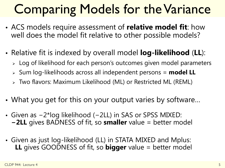# Comparing Models for the Variance

- ACS models require assessment of **relative model fit**: how well does the model fit relative to other possible models?
- Relative fit is indexed by overall model **log-likelihood** (**LL**):
	- > Log of likelihood for each person's outcomes given model parameters
	- > Sum log-likelihoods across all independent persons = **model LL**
	- Two flavors: Maximum Likelihood (ML) or Restricted ML (REML)
- What you get for this on your output varies by software…
- Given as −2\*log likelihood (−2LL) in SAS or SPSS MIXED: **−2LL** gives BADNESS of fit, so **smaller** value = better model
- Given as just log-likelihood (LL) in STATA MIXED and Mplus: **LL** gives GOODNESS of fit, so **bigger** value = better model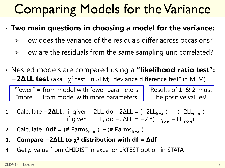### Comparing Models for the Variance

- **Two main questions in choosing a model for the variance:**
	- $\triangleright$  How does the variance of the residuals differ across occasions?
	- $\triangleright$  How are the residuals from the same sampling unit correlated?
- Nested models are compared using a **"likelihood ratio test": −2ΔLL test** (aka, "χ2 test" in SEM; "deviance difference test" in MLM)

"fewer" = from model with fewer parameters "more" = from model with more parameters

Results of 1. & 2. must be positive values!

- 1. Calculate **−2ΔLL:** if given −2LL, do −2ΔLL = (−2LL<sub>fewer</sub>) (−2LL<sub>more</sub>) if given LL, do  $-2\Delta L = -2$  \*(LL<sub>fewer</sub> – LL<sub>more</sub>)
- 2. Calculate  $\Delta df = (\# \text{ Parms}_{\text{more}}) (\# \text{ Parms}_{\text{fewer}})$
- **3. Compare −2ΔLL to χ2 distribution with df = Δdf**
- 4. Get *p*-value from CHIDIST in excel or LRTEST option in STATA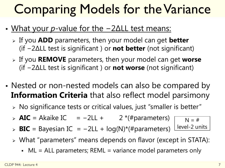# Comparing Models for the Variance

- What your *p*-value for the −2ΔLL test means:
	- If you **ADD** parameters, then your model can get **better** (if −2ΔLL test is significant ) or **not better** (not significant)
	- If you **REMOVE** parameters, then your model can get **worse** (if −2ΔLL test is significant ) or **not worse** (not significant)
- Nested or non-nested models can also be compared by **Information Criteria** that also reflect model parsimony
	- No significance tests or critical values, just "smaller is better"
	- **AIC** = Akaike IC =  $-2LL + 2$  \*(#parameters)
	- **BIC** = Bayesian IC = −2LL + log(N)\*(#parameters)
- $N = #$ level-2 units
	- What "parameters" means depends on flavor (except in STATA):
		- ML = ALL parameters; REML = variance model parameters only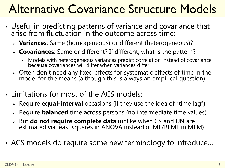### Alternative Covariance Structure Models

- Useful in predicting patterns of variance and covariance that arise from fluctuation in the outcome across time:
	- **Variances**: Same (homogeneous) or different (heterogeneous)?
	- **Covariances**: Same or different? If different, what is the pattern?
		- Models with heterogeneous variances predict correlation instead of covariance because covariances will differ when variances differ
	- Often don't need any fixed effects for systematic effects of time in the model for the means (although this is always an empirical question)
- Limitations for most of the ACS models:
	- Require **equal-interval** occasions (if they use the idea of "time lag")
	- Require **balanced** time across persons (no intermediate time values)
	- But **do not require complete data** (unlike when CS and UN are estimated via least squares in ANOVA instead of ML/REML in MLM)
- ACS models do require some new terminology to introduce…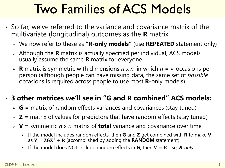# Two Families of ACS Models

- So far, we've referred to the variance and covariance matrix of the multivariate (longitudinal) outcomes as the **R** matrix
	- We now refer to these as **"R-only models"** (use **REPEATED** statement only)
	- Although the **R** matrix is actually specified per individual, ACS models usually assume the same **R** matrix for everyone
	- **R** matrix is symmetric with dimensions *n* x *n*, in which *n* = # occasions per person (although people can have missing data, the same set of *possible* occasions is required across people to use most **R**-only models)

#### • **3 other matrices we'll see in "G and R combined" ACS models:**

- $\triangleright$  **G** = matrix of random effects variances and covariances (stay tuned)
- $\triangleright$  **Z** = matrix of values for predictors that have random effects (stay tuned)
- **V** = symmetric *n* x *n* matrix of **total** variance and covariance over time
	- If the model includes random effects, then **G** and **Z** get combined with **R** to make **V** as  $V = ZGZ<sup>T</sup> + R$  (accomplished by adding the **RANDOM** statement)
	- If the model does NOT include random effects in **G**, then  $V = R_{\dots}$  so, **R**-only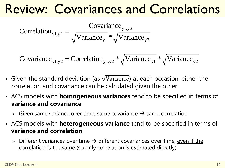### Review: Covariances and Correlations

Correlation<sub>y1,y2</sub> = 
$$
\frac{\text{Covariance}_{y1,y2}}{\sqrt{\text{Variance}_{y1}} * \sqrt{\text{Variance}_{y2}}}
$$

Covariance<sub>y1,y2</sub> = Correlation<sub>y1,y2</sub>  $\sqrt[q]{Variance}_{y1} \times \sqrt{\frac{Variance}{y2}}$ 

- Given the standard deviation (as  $\sqrt{Variance}$ ) at each occasion, either the correlation and covariance can be calculated given the other
- ACS models with **homogeneous variances** tend to be specified in terms of **variance and covariance**
	- $\triangleright$  Given same variance over time, same covariance  $\rightarrow$  same correlation
- ACS models with **heterogeneous variance** tend to be specified in terms of **variance and correlation**
	- $\triangleright$  Different variances over time  $\rightarrow$  different covariances over time, even if the correlation is the same (so only correlation is estimated directly)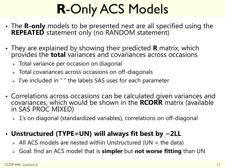# **R**-Only ACS Models

- The **R-only** models to be presented next are all specified using the **REPEATED** statement only (no RANDOM statement)
- They are explained by showing their predicted **R** matrix, which provides the **total** variances and covariances across occasions
	- Total variance per occasion on diagonal
	- $\triangleright$  Total covariances across occasions on off-diagonals
	- $>$  I've included in " " the labels SAS uses for each parameter
- Correlations across occasions can be calculated given variances and covariances, which would be shown in the **RCORR** matrix (available in SAS PROC MIXED)
	- 1's on diagonal (standardized variables), correlations on off-diagonal

#### • **Unstructured (TYPE=UN) will always fit best by −2LL**

- $\triangleright$  All ACS models are nested within Unstructured (UN = the data)
- Goal: find an ACS model that is **simpler** but **not worse fitting** than UN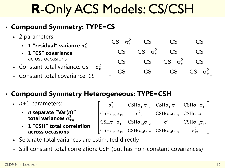# **R**-Only ACS Models: CS/CSH

#### • **Compound Symmetry: TYPE=CS**

- $>$  2 parameters:
	- **1** "residual" variance  $\sigma_{\rm e}^2$
	- **1 "CS" covariance**  across occasions
- > Constant total variance:  $CS + \sigma_e^2$
- Constant total covariance: CS



#### • **Compound Symmetry Heterogeneous: TYPE=CSH**

- $\triangleright$   $n+1$  parameters:
	- *n* **separate "Var(***n***)" total variances**  $\sigma^2_{\text{T}n}$
	- **1 "CSH" total correlation across occasions**

| $\sigma_{\text{\tiny T1}}^2$ |                                                                                                                                                                                      | $\text{CSH}\sigma_{\text{T1}}\sigma_{\text{T2}}$ $\text{CSH}\sigma_{\text{T1}}\sigma_{\text{T3}}$ $\text{CSH}\sigma_{\text{T1}}\sigma_{\text{T4}}$ |  |
|------------------------------|--------------------------------------------------------------------------------------------------------------------------------------------------------------------------------------|----------------------------------------------------------------------------------------------------------------------------------------------------|--|
|                              | CSH $\sigma_{T2}\sigma_{T1}$ $\sigma_{T2}^2$ CSH $\sigma_{T2}\sigma_{T3}$ CSH $\sigma_{T2}\sigma_{T4}$                                                                               |                                                                                                                                                    |  |
|                              | $\overline{\text{CSH}}\sigma_{\text{T3}}\sigma_{\text{T1}}$ $\text{CSH}\sigma_{\text{T3}}\sigma_{\text{T2}}$ $\sigma_{\text{T3}}^2$ $\text{CSH}\sigma_{\text{T3}}\sigma_{\text{T4}}$ |                                                                                                                                                    |  |
|                              | $\vert$ CSH $\sigma_{T4}\sigma_{T1}$ CSH $\sigma_{T4}\sigma_{T2}$ CSH $\sigma_{T4}\sigma_{T3}$ $\sigma_{T4}^2$                                                                       |                                                                                                                                                    |  |

- $\triangleright$  Separate total variances are estimated directly
- Still constant total correlation: CSH (but has non-constant covariances)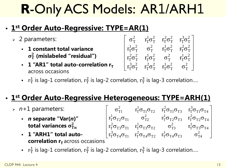# **R**-Only ACS Models: AR1/ARH1

#### • **1st Order Auto-Regressive: TYPE=AR(1)**

- 2 parameters:
	- **1 constant total variance**   $\sigma_{\rm T}^2$  (mislabeled "residual")
	- **1** "AR1" total auto-correlation  $r_T$ across occasions

$$
\left[ \begin{matrix} \sigma_T^2 & r_T^1 \sigma_T^2 & r_T^2 \sigma_T^2 & r_T^3 \sigma_T^2 \\ r_T^1 \sigma_T^2 & \sigma_T^2 & r_T^1 \sigma_T^2 & r_T^2 \sigma_T^2 \\ r_T^2 \sigma_T^2 & r_T^1 \sigma_T^2 & \sigma_T^2 & r_T^1 \sigma_T^2 \\ r_T^3 \sigma_T^2 & r_T^2 \sigma_T^2 & r_T^1 \sigma_T^2 & \sigma_T^2 \end{matrix} \right]
$$

Fig. 1  $r_T^1$  is lag-1 correlation,  $r_T^2$  is lag-2 correlation,  $r_T^3$  is lag-3 correlation....

### • **1st Order Auto-Regressive Heterogeneous: TYPE=ARH(1)**

- $\triangleright$   $n+1$  parameters:
	- *n* **separate "Var(***n***)" total variances**  $\sigma^2_{\text{T}n}$
	- **1 "ARH1" total autocorrelation r<sub>T</sub>** across occasions



Fig. 1  $r_T^1$  is lag-1 correlation,  $r_T^2$  is lag-2 correlation,  $r_T^3$  is lag-3 correlation....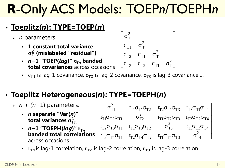# **R**-Only ACS Models: TOEP*n*/TOEPH*n*

### • **Toeplitz(***n***): TYPE=TOEP(***n***)**

- *n* parameters:
	- **1 constant total variance**   $\sigma_{\rm T}^2$  (mislabeled "residual")
	- *n*−1 "TOEP(*lag*)" c<sub>T</sub><sub>n</sub> banded **total covariances** across occasions
- 2 T 2  $T1 \quad \text{or}$ 2  $T2$   $C_{T1}$   $C_T$ 2  $T3$   $C_{T2}$   $C_{T1}$   $C_T$ σ  $c_{T1}$  σ  $c_{T2}$   $c_{T1}$   $\sigma$  $c_{T3}$   $c_{T2}$   $c_{T1}$   $\sigma$  $\sigma_{\rm T}^2$  $\frac{1}{2}$   $\frac{2}{2}$  $\begin{bmatrix} c_{T3} & c_{T2} & c_{T1} & \sigma_T^2 \end{bmatrix}$ 
	- c<sub>T1</sub> is lag-1 covariance,  $c_{T2}$  is lag-2 covariance,  $c_{T3}$  is lag-3 covariance...

2

### • **Toeplitz Heterogeneous(***n***): TYPE=TOEPH(***n***)**

- *n + (n*−1) parameters:
	- *n* **separate "Var(***n***)" total variances**  $\sigma^2_{\text{T}n}$
	- *n*−1 "TOEPH(*lag*)" r<sub>T*n*</sub> across occasions
- $\mathsf{\textbf{banded total correlations}} \; \left[ \; \mathrm{r_{T3} \sigma_{T4} \sigma_{T1}} \quad \mathrm{r_{T2} \sigma_{T4} \sigma_{T2}} \quad \; \mathrm{r_{T1} \sigma_{T4} \sigma_{T3}} \qquad \; \mathrm{\sigma^2_{T4}} \quad \; \right]$  $T1$   $T1$ <sup> $T1$ </sup> $T2$   $T2$   $T1$ <sup> $T3$ </sup> $T3$   $T1$ <sup> $T4$ </sup> $T4$ 2  $T1$ <sup>O</sup>T2<sup>O</sup>T1 T2<sup>O</sup>T2 T<sub>1</sub>OT<sub>2</sub><sup>O</sup>T3 T<sub>2</sub>OT<sub>2</sub>OT<sub>4</sub> 2  $\rm r_{T2}\sigma_{T3}\sigma_{T1}$   $\rm r_{T1}\sigma_{T3}\sigma_{T2}$   $\rm \sigma_{T3}^2$   $\rm r_{T1}\sigma_{T3}\sigma_{T4}$  $\sigma^2_{\text{T1}}$   $\text{r}_{\text{T1}}\sigma_{\text{T1}}\sigma_{\text{T2}}$   $\text{r}_{\text{T2}}\sigma_{\text{T1}}\sigma_{\text{T3}}$   $\text{r}_{\text{T2}}$  $\mathbf{r}_{\mathrm{T1}}\mathbf{\sigma}_{\mathrm{T2}}\mathbf{\sigma}_{\mathrm{T1}}$   $\mathbf{\sigma}_{\mathrm{T2}}^2$   $\mathbf{r}_{\mathrm{T1}}\mathbf{\sigma}_{\mathrm{T2}}\mathbf{\sigma}_{\mathrm{T3}}$   $\mathbf{r}_{\mathrm{T2}}$  $\sigma_{T1}^2$   $r_{T1}\sigma_{T1}\sigma_{T2}$   $r_{T2}\sigma_{T1}\sigma_{T3}$   $r_{T3}\sigma_{T1}\sigma_{T4}$  $\sigma_{\text{T2}}\sigma_{\text{T1}}$   $\sigma_{\text{T2}}^2$   $r_{\text{T1}}\sigma_{\text{T2}}\sigma_{\text{T3}}$   $r_{\text{T2}}\sigma_{\text{T2}}\sigma_{\text{T3}}$ 
	- r<sub>T1</sub> is lag-1 correlation,  $r_{T2}$  is lag-2 correlation,  $r_{T3}$  is lag-3 correlation....

2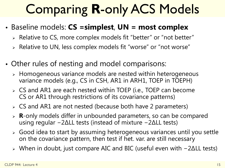# Comparing **R**-only ACS Models

- Baseline models: **CS =simplest**, **UN = most complex**
	- Relative to CS, more complex models fit "better" or "not better"
	- Relative to UN, less complex models fit "worse" or "not worse"
- Other rules of nesting and model comparisons:
	- Homogeneous variance models are nested within heterogeneous variance models (e.g., CS in CSH, AR1 in ARH1, TOEP in TOEPH)
	- CS and AR1 are each nested within TOEP (i.e., TOEP can become CS or AR1 through restrictions of its covariance patterns)
	- CS and AR1 are not nested (because both have 2 parameters)
	- **R**-only models differ in unbounded parameters, so can be compared using regular −2ΔLL tests (instead of mixture −2ΔLL tests)
	- Good idea to start by assuming heterogeneous variances until you settle on the covariance pattern, then test if het. var. are still necessary
	- When in doubt, just compare AIC and BIC (useful even with −2ΔLL tests)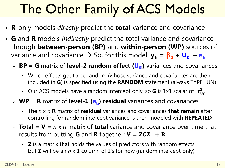# The Other Family of ACS Models

- **R**-only models *directly* predict the **total** variance and covariance
- **G** and **R** models *indirectly* predict the total variance and covariance through **between-person (BP)** and **within-person (WP)** sources of variance and covariance  $\rightarrow$  So, for this model:  $y_{ti} = \beta_0 + U_{0i} + e_{ti}$ 
	- **BP** = **G** matrix of **level-2 random effect (** $U_{0i}$ **)** variances and covariances
		- Which effects get to be random (whose variance and covariances are then included in **G**) is specified using the **RANDOM** statement (always TYPE=UN)
		- Our ACS models have a random intercept only, so **G** is 1x1 scalar of  $[\tau^2_{U_0}]$
	- $\triangleright$  **WP** = **R** matrix of **level-1 (e<sub>ti</sub>) residual** variances and covariances
		- The *n* x *n* **R** matrix of **residual** variances and covariances **that remain** after controlling for random intercept variance is then modeled with **REPEATED**
	- $\triangleright$  **Total** = **V** = *n* x *n* matrix of **total** variance and covariance over time that results from putting **G** and **R** together:  $V = ZGZ^{T} + R$ 
		- **Z** is a matrix that holds the values of predictors with random effects, but **Z** will be an *n* x 1 column of 1's for now (random intercept only)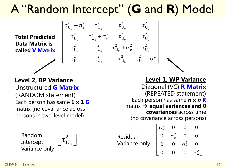### A "Random Intercept" (**G** and **R**) Model

0  $C_0$   $C_0$   $C_0$ 

 $\begin{vmatrix} \tau_{U_0}^2 + \sigma_e^2 & \tau_{U_0}^2 & \tau_{U_0}^2 & \tau_{U_0}^2 \end{vmatrix}$ 

2  $r^2$   $r^2$   $r^2$   $r^2$  $U_0$   $U_0$   $\overline{U}_0$   $U_0$   $U_0$ 

 $\tau_{\scriptscriptstyle{\rm UL}}^2 = \tau_{\scriptscriptstyle{\rm UL}}^2 + \sigma_{\scriptscriptstyle{\rm e}}^2 = \tau_{\scriptscriptstyle{\rm UL}}^2 = \tau_{\scriptscriptstyle{\rm e}}^2$ 

 $\tau_{\rm U_s}^2$   $\tau_{\rm U_s}^2$   $\tau_{\rm U_s}^2$  +  $\sigma_{\rm e}^2$   $\tau_{\rm U_s}$ 

2  $\tau^2$   $\tau^2$   $\tau^2$   $\tau^2$  $U_0$   $U_0$   $U_0$   $U_0$   $U_0$   $U_0$ 

2  $r^2$   $r^2$   $r^2$   $r^2$  $U_0$   $\tau U_0$   $U_0$   $U_0$   $U$ 

0  $\mathbf{U}_0$   $\mathbf{C}$   $\mathbf{U}_0$   $\mathbf{U}_0$ 

0  $\mathbf{U}_0$   $\mathbf{U}_0$   $\mathbf{U}_0$   $\mathbf{U}_0$ 

2  $\pi^2$   $\pi^2$   $\pi^2$  $U_0$   $U_0$   $U_0$   $U_0$   $U_0$   $U_0$ 

 $\mathbf{0}$   $\mathbf{0}$   $\mathbf{0}$   $\mathbf{0}$   $\mathbf{0}$ 

 $\left[\begin{array}{ccc} \tau_{\mathrm{U}_0}^2 & \tau_{\mathrm{U}_0}^2 & \tau_{\mathrm{U}_0}^2 & \tau_{\mathrm{U}_0}^2 + \sigma_{\mathrm{e}}^2 \end{array}\right]$ 

**Total Predicted Data Matrix is called V Matrix**

#### Unstructured **G Matrix** (RANDOM statement) Each person has same **1 x 1 G** matrix (no covariance across persons in two-level model)

Random Intercept Variance only

$$
\left[\mathbf{\tau}_{\mathrm{U}_{_{0}}}^{2}\right]
$$

Diagonal (VC) **R Matrix** (REPEATED statement) Each person has same *n* **x** *n* **R** matrix  $\rightarrow$  **equal variances and 0 covariances** across time (no covariance across persons) **Level 2, BP Variance Level 1, WP Variance**

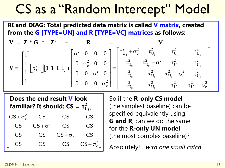### CS as a "Random Intercept" Model

**RI and DIAG: Total predicted data matrix is called V matrix, created from the G [TYPE=UN] and R [TYPE=VC] matrices as follows:**

$$
\mathbf{V} = \mathbf{Z} * \mathbf{G} * \mathbf{Z}^{T} + \mathbf{R} = \mathbf{V}
$$
  
\n
$$
\mathbf{V} = \begin{bmatrix} 1 \\ 1 \\ 1 \\ 1 \end{bmatrix} \begin{bmatrix} \tau_{U_{0}}^{2} \end{bmatrix} [1 \ 1 \ 1 \ 1] + \begin{bmatrix} \sigma_{e}^{2} & 0 & 0 & 0 \\ 0 & \sigma_{e}^{2} & 0 & 0 \\ 0 & 0 & \sigma_{e}^{2} & 0 \\ 0 & 0 & 0 & \sigma_{e}^{2} \end{bmatrix} = \begin{bmatrix} \tau_{U_{0}}^{2} + \sigma_{e}^{2} & \tau_{U_{0}}^{2} & \tau_{U_{0}}^{2} & \tau_{U_{0}}^{2} \\ \tau_{U_{0}}^{2} & \tau_{U_{0}}^{2} + \sigma_{e}^{2} & \tau_{U_{0}}^{2} & \tau_{U_{0}}^{2} \\ \tau_{U_{0}}^{2} & \tau_{U_{0}}^{2} & \tau_{U_{0}}^{2} & \tau_{U_{0}}^{2} \\ \tau_{U_{0}}^{2} & \tau_{U_{0}}^{2} & \tau_{U_{0}}^{2} & \tau_{U_{0}}^{2} + \sigma_{e}^{2} \end{bmatrix}
$$

2 e 2  $CS$   $CS + \sigma_e^2$  CS CS 2 CS  $CS$   $CS + \sigma_e^2$  CS 2 e + σ CS CS CS CS CS CS CS CS  $\begin{bmatrix} CS + \sigma_e^2 & CS & CS & CS \ \end{bmatrix}$  $+$   $\sigma$ **Does the end result V look familiar? It should:**  $CS = \tau_U^2$  $\boldsymbol{0}$ 

So if the **R-only CS model**  (the simplest baseline) can be specified equivalently using **G and R**, can we do the same for the **R-only UN model** (the most complex baseline)?

Absolutely! *...with one small catch*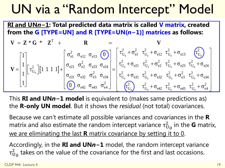### UN via a "Random Intercept" Model

**RI and UN***n***−1: Total predicted data matrix is called V matrix, created from the G [TYPE=UN] and R [TYPE=UN(***n***−1)] matrices as follows:**

$$
\mathbf{V} = \mathbf{Z} \cdot \mathbf{G} \cdot \mathbf{Z}^{\mathrm{T}} + \mathbf{R} = \mathbf{V}
$$
\n
$$
\mathbf{V} = \begin{bmatrix} 1 \\ 1 \\ 1 \\ 1 \end{bmatrix} \begin{bmatrix} \tau_{U_{0}}^{2} \end{bmatrix} \begin{bmatrix} 1 & 1 & 1 & 1 \end{bmatrix} + \begin{bmatrix} \sigma_{e1}^{2} & \sigma_{e13} & \sigma_{e13} & \sigma_{e23} \\ \sigma_{e21} & \sigma_{e22}^{2} & \sigma_{e23} & \sigma_{e24} \\ \sigma_{e31} & \sigma_{e32} & \sigma_{e3}^{2} & \sigma_{e34} \\ \sigma_{e42} & \sigma_{e43} & \sigma_{e4}^{2} \end{bmatrix} = \begin{bmatrix} \tau_{U_{0}}^{2} + \sigma_{e1}^{2} & \tau_{U_{0}}^{2} + \sigma_{e12} & \tau_{U_{0}}^{2} + \sigma_{e13} & \tau_{U_{0}}^{2} \\ \tau_{U_{0}}^{2} + \sigma_{e21} & \tau_{U_{0}}^{2} + \sigma_{e22}^{2} & \tau_{U_{0}}^{2} + \sigma_{e23} & \tau_{U_{0}}^{2} + \sigma_{e24} \\ \tau_{U_{0}}^{2} + \sigma_{e31} & \tau_{U_{0}}^{2} + \sigma_{e32} & \tau_{U_{0}}^{2} + \sigma_{e33}^{2} & \tau_{U_{0}}^{2} + \sigma_{e34} \\ \tau_{U_{0}}^{2} & \tau_{U_{0}}^{2} + \sigma_{e42} & \tau_{U_{0}}^{2} + \sigma_{e43} & \tau_{U_{0}}^{2} + \sigma_{e4}^{2} \end{bmatrix}
$$

This **RI and UN***n***−1 model** is equivalent to (makes same predictions as) the **R-only UN model**. But it shows the *residual* (not total) covariances.

Because we can't estimate all possible variances and covariances in the **R** matrix and also estimate the random intercept variance  $\tau_{U_0}^2$  in the **G** matrix, we are eliminating the last **R** matrix covariance by setting it to 0.

Accordingly, in the **RI and UN***n***−1** model, the random intercept variance  $\tau^2_{\mathrm{U}_0}$  takes on the value of the covariance for the first and last occasions.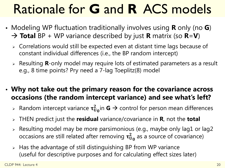# Rationale for **G** and **R** ACS models

- Modeling WP fluctuation traditionally involves using **R** only (no **G**) → **Total** BP + WP variance described by just **R** matrix (so **R**=**V**)
	- Correlations would still be expected even at distant time lags because of constant individual differences (i.e., the BP random intercept)
	- Resulting **R**-only model may require lots of estimated parameters as a result e.g., 8 time points? Pry need a 7-lag Toeplitz(8) model
- **Why not take out the primary reason for the covariance across occasions (the random intercept variance) and see what's left?**
	- $\triangleright$  Random intercept variance  $\tau^2_{U_0}$ in **G**  $\rightarrow$  control for person mean differences
	- THEN predict just the **residual** variance/covariance in **R**, not the **total**
	- $\triangleright$  Resulting model may be more parsimonious (e.g., maybe only lag1 or lag2 occasions are still related after removing  $\tau_{\rm U_0}^2$  as a source of covariance)
	- $\triangleright$  Has the advantage of still distinguishing BP from WP variance (useful for descriptive purposes and for calculating effect sizes later)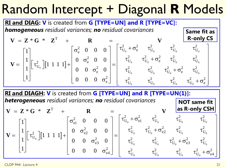### Random Intercept + Diagonal **R** Models



**RI and DIAGH: V** is created from **G [TYPE=UN] and R [TYPE=UN(1)]:** *heterogeneous residual variances; no residual covariances* **NOT same fit** 

$$
\mathbf{V} = \mathbf{Z} * \mathbf{G} * \mathbf{Z}^{T} + \mathbf{R} = \begin{bmatrix} 1 \\ 1 \\ 1 \\ 1 \end{bmatrix} \begin{bmatrix} \tau_{U_{0}}^{2} \end{bmatrix} \begin{bmatrix} 1 & 1 & 1 & 1 \end{bmatrix} + \begin{bmatrix} \sigma_{e1}^{2} & 0 & 0 & 0 \\ 0 & \sigma_{e2}^{2} & 0 & 0 \\ 0 & 0 & \sigma_{e3}^{2} & 0 \\ 0 & 0 & 0 & \sigma_{e4}^{2} \end{bmatrix} = \begin{bmatrix} \tau_{U_{0}}^{2} + \sigma_{e1}^{2} & \tau_{U_{0}}^{2} & \tau_{U_{0}}^{2} & \tau_{U_{0}}^{2} \\ \tau_{U_{0}}^{2} & \tau_{U_{0}}^{2} + \sigma_{e2}^{2} & \tau_{U_{0}}^{2} & \tau_{U_{0}}^{2} \\ \tau_{U_{0}}^{2} & \tau_{U_{0}}^{2} & \tau_{U_{0}}^{2} & \tau_{U_{0}}^{2} \\ \tau_{U_{0}}^{2} & \tau_{U_{0}}^{2} & \tau_{U_{0}}^{2} & \tau_{U_{0}}^{2} \\ \end{bmatrix}
$$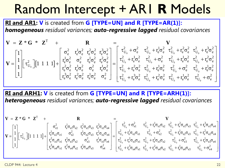### Random Intercept + AR1 **R** Models

#### **RI and AR1: V** is created from **G [TYPE=UN] and R [TYPE=AR(1)]:** *homogeneous residual variances; auto-regressive lagged residual covariances*

$$
\mathbf{V} = \begin{bmatrix} 1 \\ 1 \\ 1 \end{bmatrix} \begin{bmatrix} \tau_{U_0}^2 \end{bmatrix} \begin{bmatrix} 1 & 1 & 1 & 1 \end{bmatrix} + \begin{bmatrix} \sigma_e^2 & r_e^2 \sigma_e^2 & r_e^3 \sigma_e^2 \\ r_e^4 \sigma_e^2 & \sigma_e^2 & r_e^4 \sigma_e^2 & r_e^2 \sigma_e^2 \\ r_e^2 \sigma_e^2 & r_e^4 \sigma_e^2 & r_e^4 \sigma_e^2 & r_e^2 \sigma_e^2 \\ r_e^3 \sigma_e^2 & r_e^4 \sigma_e^2 & r_e^4 \sigma_e^2 & r_e^4 \sigma_e^2 \end{bmatrix} = \begin{bmatrix} \tau_{U_0}^2 + \sigma_e^2 & \tau_{U_0}^2 + r_e^2 \sigma_e^2 & \tau_{U_0}^2 + r_e^2 \sigma_e^2 & \tau_{U_0}^2 + r_e^2 \sigma_e^2 \\ \tau_{U_0}^2 + r_e^4 \sigma_e^2 & \tau_{U_0}^2 + r_e^4 \sigma_e^2 & \tau_{U_0}^2 + r_e^2 \sigma_e^2 \\ r_e^3 \sigma_e^2 & r_e^2 \sigma_e^2 & r_e^4 \sigma_e^2 & \sigma_e^2 \end{bmatrix} = \begin{bmatrix} \tau_{U_0}^2 + \sigma_e^2 & \tau_{U_0}^2 + r_e^4 \sigma_e^2 & \tau_{U_0}^2 + r_e^4 \sigma_e^2 & \tau_{U_0}^2 + r_e^2 \sigma_e^2 \\ \tau_{U_0}^2 + r_e^3 \sigma_e^2 & \tau_{U_0}^2 + r_e^4 \sigma_e^2 & \tau_{U_0}^2 + r_e^4 \sigma_e^2 & \tau_{U_0}^2 + r_e^4 \sigma_e^2 & \tau_{U_0}^2 + r_e^4 \sigma_e^2 & \tau_{U_0}^2 + r_e^2 \sigma_e^2 & \tau_{U_0}^2 + r_e^4 \sigma_e^2 & \tau_{U_0}^2 + r_e^4 \sigma_e^2 & \tau_{U_0}^2 + r_e^4 \sigma_e^2 & \tau_{U_0}^2 + r_e^4 \sigma_e^2 \end{bmatrix}
$$

**RI and ARH1: V** is created from **G [TYPE=UN] and R [TYPE=ARH(1)]:** *heterogeneous residual variances; auto-regressive lagged residual covariances*

$$
\mathbf{V} = \begin{bmatrix} 1 \\ 1 \\ 1 \\ 1 \end{bmatrix} \begin{bmatrix} \tau_{U_0}^2 \end{bmatrix} \begin{bmatrix} 1 & 1 & 1 & 1 \end{bmatrix} + \begin{bmatrix} \sigma_{e1}^2 & \tau_e^1 \sigma_{e1} \sigma_{e2} & \tau_e^2 \sigma_{e1} \sigma_{e3} & \tau_e^3 \sigma_{e1} \sigma_{e4} \\ \tau_e^2 \sigma_{e2} \sigma_{e1} & \sigma_{e2}^2 & \tau_e^1 \sigma_{e2} \sigma_{e3} & \tau_e^2 \sigma_{e2} \sigma_{e4} \\ \tau_e^3 \sigma_{e3} \sigma_{e1} & \tau_e^1 \sigma_{e3} \sigma_{e2} & \sigma_{e3}^2 & \tau_e^1 \sigma_{e3} \sigma_{e4} \\ \tau_e^3 \sigma_{e4} \sigma_{e1} & \tau_e^2 \sigma_{e4} \sigma_{e2} & \tau_e^1 \sigma_{e4} \sigma_{e3} & \sigma_{e4}^2 \end{bmatrix} = \begin{bmatrix} \tau_{U_0}^2 + \sigma_{e1}^2 & \tau_{U_0}^2 + \tau_e^1 \sigma_{e1} \sigma_{e2} & \tau_{U_0}^2 + \tau_e^2 \sigma_{e1} \sigma_{e3} & \tau_{U_0}^2 + \tau_e^3 \sigma_{e2} \sigma_{e3} \\ \tau_{U_0}^2 + \tau_e^2 \sigma_{e3} \sigma_{e1} & \tau_{U_0}^2 + \tau_e^2 \sigma_{e3} \sigma_{e4} \\ \tau_{U_0}^2 + \tau_e^2 \sigma_{e4} \sigma_{e1} & \tau_{e1}^2 \sigma_{e4} \sigma_{e3} & \sigma_{e4}^2 \end{bmatrix} = \begin{bmatrix} \tau_{U_0}^2 + \sigma_{e1}^2 & \tau_{U_0}^2 + \tau_e^1 \sigma_{e1} \sigma_{e2} & \tau_{U_0}^2 + \tau_e^1 \sigma_{e2} \sigma_{e3} & \tau_{U_0}^2 + \tau_e^2 \sigma_{e1} \sigma_{e3} & \tau_{U_0}^2 + \tau_e^2 \sigma_{e2} \sigma_{e4} \\ \tau_{U_0}^2 + \tau_e^3 \sigma_{e4} \sigma_{e1} & \tau_{U_0}^2 + \tau_e^2 \sigma_{e4} \sigma_{e2}
$$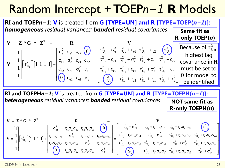### Random Intercept + TOEP*n−1* **R** Models



2  $r \sigma \sigma$   $\sigma$   $\sigma^2$   $\sigma \sigma \sigma^2$ 

 $e^{2\mathbf{U}_{e3} \mathbf{U}_{e1} + \mathbf{e}_{1} \mathbf{U}_{e3} \mathbf{U}_{e2}}$   $e^{3}$   $e^{4}$   $e^{1\mathbf{U}_{e3} \mathbf{U}_{e4}}$   $e^{1\mathbf{U}_{e1} + \mathbf{e}_{2} \mathbf{U}_{e3} \mathbf{U}_{e1}}$   $e^{1\mathbf{U}_{e1} + \mathbf{e}_{1} \mathbf{U}_{e3}}$ 2

 $r_{e2}\sigma_{e3}\sigma_{e1}$   $r_{e1}\sigma_{e3}\sigma_{e2}$   $\sigma_{e3}^{2}$   $r_{e1}\sigma_{e3}\sigma_{e4}$   $r_{U_a}^{2} + r_{e2}\sigma_{e3}\sigma_{e1}$   $r_{U_a}^{2} + r_{e1}\sigma_{e3}\sigma_{e2}$ 

 $e^{2\mathbf{U}}e^{4\mathbf{U}}e^{2}$   $e^{1\mathbf{U}}e^{4\mathbf{U}}e^{3}$   $e^{4\mathbf{U}}e^{4}$ 

 $0$  )  $r_{e2} \sigma_{e4} \sigma_{e2}$   $r_{e1} \sigma_{e4} \sigma_{e3}$  σ

 $[0 \quad C_{e2} \sigma_{e4} \sigma_{e2} \quad T_{e1} \sigma_{e4} \sigma_{e3} \quad \sigma_{e4} \quad ]$ 

0  $C_1$   $C_2$   $C_3$   $C_1$   $C_0$ 

 $\tau_{\text{UL}}^2 + \text{r}_{e2}\sigma_{e3}\sigma_{e1} \quad \tau_{\text{UL}}^2 +$ 

U

1

1

 $\lfloor 1 \rfloor$ 

 $r_{e1} \sigma_{e3} \sigma$ 

0 C<sub>2</sub> C<sub>0</sub>

 $\tau_{\rm IL}^2 + \sigma_{\rm e3}^2$   $\tau_{\rm IL}^2 +$ 

2  $^2$   $^2$  $e2$   $VU_0$   $V_0$   $V_0$   $V_0$   $V_0$   $V_0$   $V_0$   $V_0$ 

 $0<sub>0</sub>$   $0<sub>0</sub>$   $0<sub>0</sub>$   $0<sub>0</sub>$   $0<sub>0</sub>$   $0<sub>0</sub>$   $0<sub>0</sub>$   $0<sub>0</sub>$ 

 $\begin{bmatrix} \tau_{U_0}^2 & \tau_{U_0}^2 + r_{e2}\sigma_{e4}\sigma_{e2} & \tau_{U_0}^2 + r_{e1}\sigma_{e4}\sigma_{e3} & \tau_{U_0}^2 + \sigma_{e4}^2 \end{bmatrix}$ 

2  $r^2$   $r \pi \pi r^2$   $r \pi \pi r^2$   $r^2$  $U_0$   $U_0$   $I_2$  $V_0$   $I_0$   $I_1$   $I_1$   $I_2$  $I_0$   $I_1$   $I_2$   $I_0$   $I_0$   $I_0$   $I_0$   $I_0$   $I_0$   $I_0$   $I_0$   $I_0$   $I_0$   $I_0$   $I_0$   $I_0$   $I_0$   $I_0$   $I_0$   $I_0$   $I_0$   $I_0$   $I_0$   $I_0$   $I_0$   $I_0$   $I_0$   $I_0$   $I_0$ 

 $\rm r_{e2}\sigma_{e4}\sigma_{e2}$   $\rm \tau_{U_{e}}^{2} + \rm r_{e1}\sigma_{e4}\sigma_{e2}$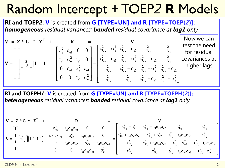### Random Intercept + TOEP*2* **R** Models

#### **RI and TOEP***2***: V** is created from **G [TYPE=UN] and R [TYPE=TOEP(***2***)]:**  *homogeneous residual variances; banded residual covariance at lag1 only*

 $| 1 1 1 |$ 0  $C_0$   $C_1$   $C_0$   $C_0$  $0$  ci  $\sigma_0$ 0 T  $\begin{array}{ccc} 2 & c_{\rm e1} & 0 & 0 \end{array}$   $\begin{array}{ccc} \n\tau_{\rm U_0}^2 + \sigma_{\rm e}^2 & \tau_{\rm U_0}^2 + c_{\rm e1} & \tau_{\rm U_0}^2 & \tau_{\rm U}^2 \end{array}$ 2  $\alpha$  0  $\tau_{\text{eff}}^2$  +  $\tau_{\text{eff}}^2$ 2  $\begin{bmatrix} 1 & 1 & 1 & 1 \end{bmatrix}$   $\begin{bmatrix} C_{e1} & C_{e1} & C_{e1} & 0 \end{bmatrix}$   $\begin{bmatrix} U_0 & 1 & 1 \end{bmatrix}$  $U_0$   $\begin{bmatrix} 1 & 1 & 1 & 1 \end{bmatrix}$   $\begin{bmatrix} 0 & 0 & \sigma^2 \end{bmatrix}$  $e1$   $e$   $e$ <sup> $e$ </sup> $e1$ 2  $e1$   $e$  $= Z * G *$ 1  $\begin{bmatrix} \sigma_e^2 & c_{e1} & 0 & 0 \end{bmatrix}$   $\begin{bmatrix} \tau_{U_0}^2 + \sigma_e^2 & \tau_{U_0}^2 + c_{e1}^2 & \tau_{U_0}^2 \end{bmatrix}$  $1\vert_{\Gamma}$   $\vert_{\Gamma}$   $\vert_{\Gamma_{1,1}}$   $\vert_{\Gamma_{\rm el}}$   $\vert_{\Gamma_{\rm el}}$   $\vert_{\Gamma_{\rm el}}^2$   $\vert_{\Gamma_{\rm el}}^2$   $\vert$   $\vert_{\Gamma_{\rm U_0}}^2$  + c 1111  $1 \vert L^{\circ} \cup_{0} \vert L$   $1 \vert 0 \vert c_{\text{el}} \vert \sigma_{\text{e}}^{2} \vert c$  $\begin{array}{c|cc} 1 \end{array}$  0 0  $\begin{array}{c|cc} 0 & 0 & c_{e1} \end{array}$  0  $= Z * G * Z^{T} + R =$  $= \begin{bmatrix} 1 \\ 1 \\ 1 \\ 1 \end{bmatrix} \begin{bmatrix} \tau_{U_0}^2 \end{bmatrix} \begin{bmatrix} 1 & 1 & 1 & 1 \end{bmatrix} + \begin{bmatrix} \sigma_e^2 & c_{e1} & 0 & 0 \\ c_{e1} & \sigma_e^2 & c_{e1} & 0 \\ 0 & c_{e1} & \sigma_e^2 & c_{e1} \\ 0 & 0 & c_{e1} & \sigma_e^2 \end{bmatrix} = \begin{bmatrix} \tau_{U_0}^2 + \sigma_e^2 & \tau_{U_0}^2 + c_{e1} & \tau_{U_0}^2 & \tau_{U_0}^2 & \tau_{$  $V = Z * G * Z<sup>1</sup> + R = V$  $\mathbf{V} = \begin{bmatrix} 1 \\ 1 \end{bmatrix} \tau_{U_0}^2 \left[ \begin{bmatrix} 1 & 1 & 1 & 1 \end{bmatrix} + \begin{bmatrix} 2e^{i\theta} & e^{i\theta} & e^{i\theta} & e^{i\theta} & 0 \\ 0 & 0 & 0 & 0 \end{bmatrix} \right] = \begin{bmatrix} 0 & 0 & 0 & 0 & 0 \\ 0 & 0 & 0 & 0 & 0 \\ 0 & 0 & 0 & 0 & 0 \end{bmatrix}$  $0 \quad \mathbf{U}_0 \quad \mathbf{U}_1 \quad \mathbf{U}_0 \quad \mathbf{U}_0$ 0  $\mathbf{U}_0$   $\mathbf{U}_0$   $\mathbf{U}_1$   $\mathbf{U}_0$ 2  $z^2$   $z^2$  $U_0$   $\tau$   $\mathbf{e}_1$   $\mathbf{U}$ 2  $\pi^2$   $\pi^2$   $\pi^2$   $\pi^2$  $U_0$   $U_0$   $U_0$   $U_1$   $U_0$   $U_0$   $U_1$   $U_0$ 2  $\tau^2$   $\tau^2$   $\sigma^2$   $\tau^2$  $U_0$   $U_0$   $U_0$   $U_0$   $U_0$   $U_0$   $U_0$ c  $c_{e1}^2 \tau_{U_0}^2 + \sigma_e^2 \tau_{U_0}^2 + c$ c  $\begin{vmatrix} \tau_{11}^2 + \sigma_{2}^2 & \tau_{11}^2 + c_{21} & \tau_{11}^2 \end{vmatrix}$  $\begin{bmatrix} 0 & 0 & 0 & 0 \\ 0 & 0 & 0 & 0 \end{bmatrix}$  $\tau_{\text{UL}}^2 + c_{\text{el}}$  τ  $\tau_{\rm IL}^2 = \tau_{\rm IL}^2 + c_{\rm el} \tau_{\rm IL}^2 + \sigma_{\rm e}^2 \tau_{\rm IL}^2 +$  $\left[ \begin{array}{cc} \tau_{U_0}^2 & \tau_{U_0}^2 & \tau_{U_0}^2 + c_{e1} & \tau_{U_0}^2 + \sigma_e^2 \end{array} \right]$ Now we can test the need for residual covariances at higher lags

**RI and TOEPH***1***: V** is created from **G [TYPE=UN] and R [TYPE=TOEPH(***2***)]:**  *heterogeneous residual variances; banded residual covariance at lag1 only*

$$
\mathbf{V} = \begin{bmatrix} 1 \\ 1 \\ 1 \\ 1 \end{bmatrix} \begin{bmatrix} \tau_{c1}^2 \\ \tau_{c2}^2 \end{bmatrix} \begin{bmatrix} 1 & 1 & 1 & 1 \end{bmatrix} + \begin{bmatrix} \sigma_{e1}^2 & \tau_{e1} \sigma_{e2} \sigma_{e1} & \sigma_{e2}^2 & 0 & 0 \\ \sigma_{e1}^2 & \tau_{e1} \sigma_{e2} \sigma_{e3} & 0 & 0 \\ 0 & \tau_{e1} \sigma_{e3} \sigma_{e2} & \sigma_{e3}^2 & \tau_{e1} \sigma_{e3} \sigma_{e4} \end{bmatrix} = \begin{bmatrix} \tau_{U_0}^2 + \sigma_{e1}^2 & \tau_{U_0}^2 + \tau_{e1} \sigma_{e1} \sigma_{e2} & \tau_{U_0}^2 & \tau_{U_0}^2 \\ \tau_{U_0}^2 + \tau_{e1} \sigma_{e2} \sigma_{e1} & \tau_{U_0}^2 + \tau_{e1} \sigma_{e2} \sigma_{e3} & \tau_{U_0}^2 \\ \tau_{U_0}^2 & \tau_{U_0}^2 + \tau_{e1} \sigma_{e3} \sigma_{e2} & \tau_{U_0}^2 + \tau_{e1} \sigma_{e3} \sigma_{e4} \end{bmatrix}
$$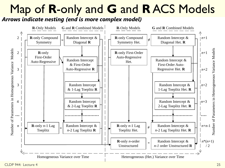### Map of **R**-only and **G** and **R** ACS Models

*Arrows indicate nesting (end is more complex model)*

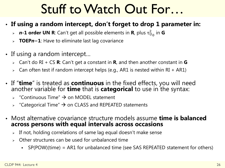### Stuff to Watch Out For…

- **If using a random intercept, don't forget to drop 1 parameter in:** 
	- $\triangleright$  **n-1 order UN R**: Can't get all possible elements in **R**, plus  $\tau^2_{\mathrm{U}_0}$  in **G**
	- **TOEP***n***−1**: Have to eliminate last lag covariance
- If using a random intercept…
	- Can't do RI + CS **R**: Can't get a constant in **R**, and then another constant in **G**
	- $\triangleright$  Can often test if random intercept helps (e.g., AR1 is nested within RI + AR1)
- If "**time**" is treated as **continuous** in the fixed effects, you will need another variable for **time** that is **categorical** to use in the syntax:
	- "Continuous Time"  $\rightarrow$  on MODEL statement
	- $\rightarrow$  "Categorical Time"  $\rightarrow$  on CLASS and REPEATED statements
- Most alternative covariance structure models assume **time is balanced across persons with equal intervals across occasions**
	- $\geq$  If not, holding correlations of same lag equal doesn't make sense
	- $\triangleright$  Other structures can be used for unbalanced time
		- SP(POW)(time) = AR1 for unbalanced time (see SAS REPEATED statement for others)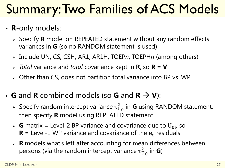### Summary: Two Families of ACS Models

- **R**-only models:
	- Specify **R** model on REPEATED statement without any random effects variances in **G** (so no RANDOM statement is used)
	- Include UN, CS, CSH, AR1, AR1H, TOEP*n*, TOEPH*n* (among others)
	- *Total* variance and *total* covariance kept in **R**, so **R** = **V**
	- Other than CS, does not partition total variance into BP vs. WP
- **G** and **R** combined models (so **G** and  $\mathbf{R} \to \mathbf{V}$ ):
	- > Specify random intercept variance τ<sup>2</sup><sub>0</sub> in **G** using RANDOM statement, then specify **R** model using REPEATED statement
	- $\triangleright$  **G** matrix = Level-2 BP variance and covariance due to U<sub>0i</sub>, so  **= Level-1 WP variance and covariance of the**  $e_{ti}$  **residuals**
	- **R** models what's left after accounting for mean differences between persons (via the random intercept variance  $\tau^2_{\mathsf{U}_0}$  in **G**)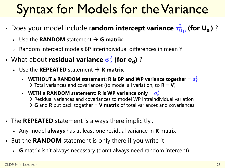### Syntax for Models for the Variance

- **•** Does your model include random intercept variance  $\tau_{U_0}^2$  (for  $U_{0i}$ )?
	- $\triangleright$  Use the **RANDOM** statement  $\rightarrow$  **G** matrix
	- $\triangleright$  Random intercept models BP interindividual differences in mean Y
- **•** What about residual variance  $\sigma_e^2$  (for e<sub>ti</sub>)?
	- $\triangleright$  Use the **REPEATED** statement  $\rightarrow$  **R** matrix
		- **WITHOUT a RANDOM statement: R is BP and WP variance together**  $= \sigma_T^2$  $\rightarrow$  Total variances and covariances (to model all variation, so **R** = **V**)
		- **WITH a RANDOM statement: R is WP variance only =**  $\sigma_e^2$  $\rightarrow$  Residual variances and covariances to model WP intraindividual variation  $\rightarrow$  **G** and **R** put back together = **V matrix** of total variances and covariances
- The **REPEATED** statement is always there implicitly...
	- Any model **always** has at least one residual variance in **R** matrix
- But the **RANDOM** statement is only there if you write it
	- **G** matrix isn't always necessary (don't always need random intercept)